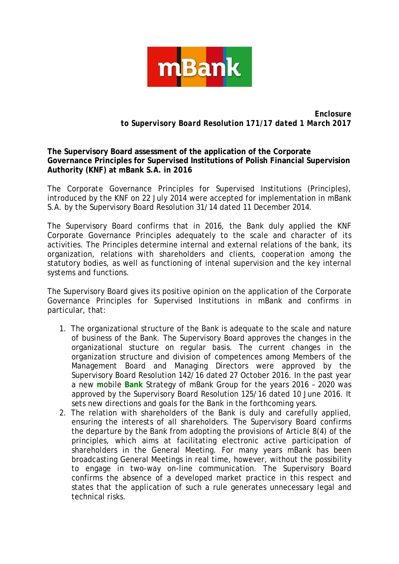

*Enclosure to Supervisory Board Resolution 171/17 dated 1 March 2017*

## **The Supervisory Board assessment of the application of the Corporate Governance Principles for Supervised Institutions of Polish Financial Supervision Authority (KNF) at mBank S.A. in 2016**

The Corporate Governance Principles for Supervised Institutions (Principles), introduced by the KNF on 22 July 2014 were accepted for implementation in mBank S.A. by the Supervisory Board Resolution 31/14 dated 11 December 2014.

The Supervisory Board confirms that in 2016, the Bank duly applied the KNF Corporate Governance Principles adequately to the scale and character of its activities. The Principles determine internal and external relations of the bank, its organization, relations with shareholders and clients, cooperation among the statutory bodies, as well as functioning of intenal supervision and the key internal systems and functions.

The Supervisory Board gives its positive opinion on the application of the Corporate Governance Principles for Supervised Institutions in mBank and confirms in particular, that:

- 1. The organizational structure of the Bank is adequate to the scale and nature of business of the Bank. The Supervisory Board approves the changes in the organizational stucture on regular basis. The current changes in the organization structure and division of competences among Members of the Management Board and Managing Directors were approved by the Supervisory Board Resolution 142/16 dated 27 October 2016. In the past year a new **m**obile **Bank** Strategy of mBank Group for the years 2016 – 2020 was approved by the Supervisory Board Resolution 125/16 dated 10 June 2016. It sets new directions and goals for the Bank in the forthcoming years.
- 2. The relation with shareholders of the Bank is duly and carefully applied, ensuring the interests of all shareholders. The Supervisory Board confirms the departure by the Bank from adopting the provisions of Article 8(4) of the principles, which aims at facilitating electronic active participation of shareholders in the General Meeting. For many years mBank has been broadcasting General Meetings in real time, however, without the possibility to engage in two-way on-line communication. The Supervisory Board confirms the absence of a developed market practice in this respect and states that the application of such a rule generates unnecessary legal and technical risks.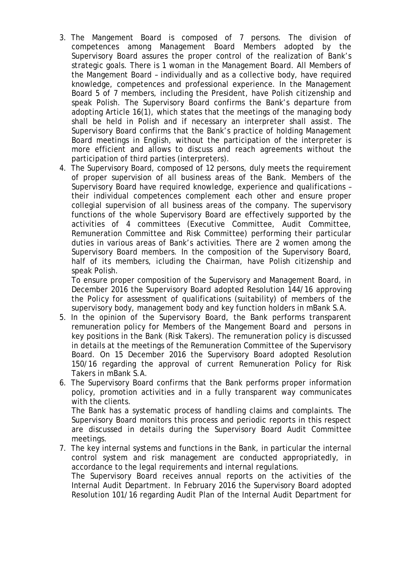- 3. The Mangement Board is composed of 7 persons. The division of competences among Management Board Members adopted by the Supervisory Board assures the proper control of the realization of Bank's strategic goals. There is 1 woman in the Management Board. All Members of the Mangement Board – individually and as a collective body, have required knowledge, competences and professional experience. In the Management Board 5 of 7 members, including the President, have Polish citizenship and speak Polish. The Supervisory Board confirms the Bank's departure from adopting Article 16(1), which states that the meetings of the managing body shall be held in Polish and if necessary an interpreter shall assist. The Supervisory Board confirms that the Bank's practice of holding Management Board meetings in English, without the participation of the interpreter is more efficient and allows to discuss and reach agreements without the participation of third parties (interpreters).
- 4. The Supervisory Board, composed of 12 persons, duly meets the requirement of proper supervision of all business areas of the Bank. Members of the Supervisory Board have required knowledge, experience and qualifications – their individual competences complement each other and ensure proper collegial supervision of all business areas of the company. The supervisory functions of the whole Supervisory Board are effectively supported by the activities of 4 committees (Executive Committee, Audit Committee, Remuneration Committee and Risk Committee) performing their particular duties in various areas of Bank's activities. There are 2 women among the Supervisory Board members. In the composition of the Supervisory Board, half of its members, icluding the Chairman, have Polish citizenship and speak Polish.

To ensure proper composition of the Supervisory and Management Board, in December 2016 the Supervisory Board adopted Resolution 144/16 approving the Policy for assessment of qualifications (suitability) of members of the supervisory body, management body and key function holders in mBank S.A.

- 5. In the opinion of the Supervisory Board, the Bank performs transparent remuneration policy for Members of the Mangement Board and persons in key positions in the Bank (Risk Takers). The remuneration policy is discussed in details at the meetings of the Remuneration Committee of the Supervisory Board. On 15 December 2016 the Supervisory Board adopted Resolution 150/16 regarding the approval of current Remuneration Policy for Risk Takers in mBank S.A.
- 6. The Supervisory Board confirms that the Bank performs proper information policy, promotion activities and in a fully transparent way communicates with the clients.

The Bank has a systematic process of handling claims and complaints. The Supervisory Board monitors this process and periodic reports in this respect are discussed in details during the Supervisory Board Audit Committee meetings.

7. The key internal systems and functions in the Bank, in particular the internal control system and risk management are conducted appropriatedly, in accordance to the legal requirements and internal regulations.

The Supervisory Board receives annual reports on the activities of the Internal Audit Department. In February 2016 the Supervisory Board adopted Resolution 101/16 regarding Audit Plan of the Internal Audit Department for